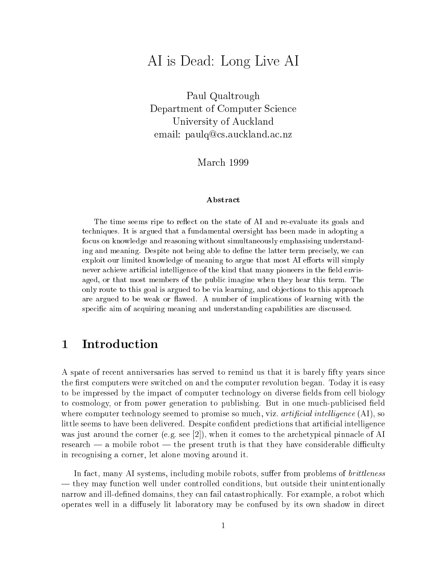# AI is Dead: Long Live AI

Paul Qualtrough Department of Computer Science University of Auckland email: paulq@cs.auckland.ac.nz

March 1999

## Abstract

The time seems ripe to reflect on the state of AI and re-evaluate its goals and techniques. It is argued that a fundamental oversight has been made in adopting a focus on knowledge and reasoning without simultaneously emphasising understanding and meaning. Despite not being able to define the latter term precisely, we can exploit our limited knowledge of meaning to argue that most AI efforts will simply never achieve artificial intelligence of the kind that many pioneers in the field envisaged, or that most members of the public imagine when they hear this term. The only route to this goal is argued to be via learning, and objections to this approach are argued to be weak or flawed. A number of implications of learning with the specic aim of acquiring meaning and understanding capabilities are discussed.

#### 1Introduction

A spate of recent anniversaries has served to remind us that it is barely fty years since the first computers were switched on and the computer revolution began. Today it is easy to be impressed by the impact of computer technology on diverse fields from cell biology to cosmology, or from power generation to publishing. But in one much-publicised field where computer technology seemed to promise so much, viz. *artificial intelligence*  $(AI)$ , so little seems to have been delivered. Despite confident predictions that artificial intelligence was just around the corner (e.g. see [2]), when it comes to the archetypical pinnacle of AI research  $-$  a mobile robot  $-$  the present truth is that they have considerable difficulty in recognising a corner, let alone moving around it.

In fact, many AI systems, including mobile robots, suffer from problems of *brittleness*  $-$  they may function well under controlled conditions, but outside their unintentionally narrow and ill-defined domains, they can fail catastrophically. For example, a robot which operates well in a diffusely lit laboratory may be confused by its own shadow in direct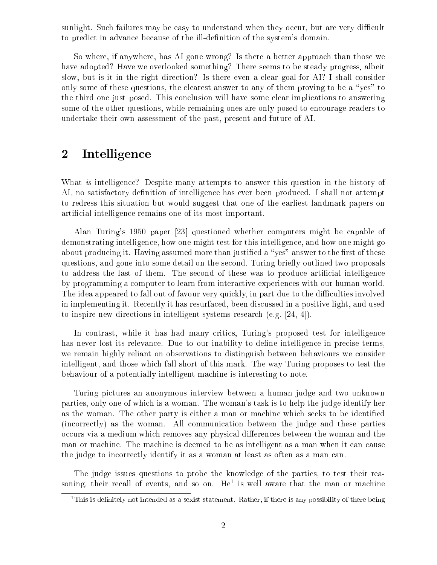sunlight. Such failures may be easy to understand when they occur, but are very difficult to predict in advance because of the ill-definition of the system's domain.

So where, if anywhere, has AI gone wrong? Is there a better approach than those we have adopted? Have we overlooked something? There seems to be steady progress, albeit slow, but is it in the right direction? Is there even a clear goal for AI? I shall consider only some of these questions, the clearest answer to any of them proving to be a "yes" to the third one just posed. This conclusion will have some clear implications to answering some of the other questions, while remaining ones are only posed to encourage readers to undertake their own assessment of the past, present and future of AI.

#### 2Intelligence

What is intelligence? Despite many attempts to answer this question in the history of AI, no satisfactory definition of intelligence has ever been produced. I shall not attempt to redress this situation but would suggest that one of the earliest landmark papers on articial intelligence remains one of its most important.

Alan Turing's 1950 paper [23] questioned whether computers might be capable of demonstrating intelligence, how one might test for this intelligence, and how one might go about producing it. Having assumed more than justified a "yes" answer to the first of these questions, and gone into some detail on the second, Turing briefly outlined two proposals to address the last of them. The second of these was to produce artificial intelligence by programming a computer to learn from interactive experiences with our human world. The idea appeared to fall out of favour very quickly, in part due to the difficulties involved in implementing it. Recently it has resurfaced, been discussed in a positive light, and used to inspire new directions in intelligent systems research (e.g. [24, 4]).

In contrast, while it has had many critics, Turing's proposed test for intelligence has never lost its relevance. Due to our inability to define intelligence in precise terms. we remain highly reliant on observations to distinguish between behaviours we consider intelligent, and those which fall short of this mark. The way Turing proposes to test the behaviour of a potentially intelligent machine is interesting to note.

Turing pictures an anonymous interview between a human judge and two unknown parties, only one of which is a woman. The woman's task is to help the judge identify her as the woman. The other party is either a man or machine which seeks to be identied (incorrectly) as the woman. All communication between the judge and these parties occurs via a medium which removes any physical differences between the woman and the man or machine. The machine is deemed to be as intelligent as a man when it can cause the judge to incorrectly identify it as a woman at least as often as a man can.

The judge issues questions to probe the knowledge of the parties, to test their reasoning, their recall of events, and so on. The is well aware that the man or machine

 $^\circ$  1 ms is definitely not intended as a sexist statement. Rather, if there is any possibility of there being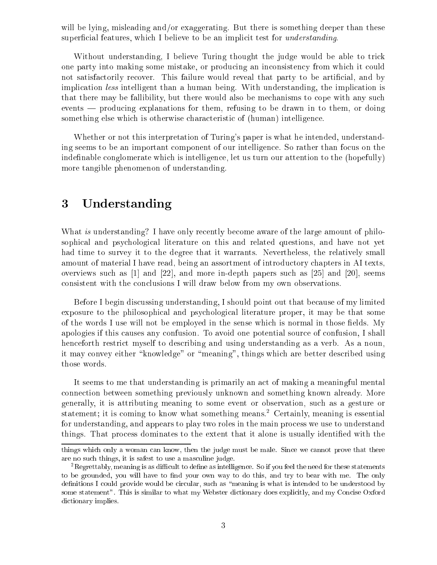will be lying, misleading and/or exaggerating. But there is something deeper than these superficial features, which I believe to be an implicit test for *understanding*.

Without understanding, I believe Turing thought the judge would be able to trick one party into making some mistake, or producing an inconsistency from which it could not satisfactorily recover. This failure would reveal that party to be artificial, and by implication less intelligent than a human being. With understanding, the implication is that there may be fallibility, but there would also be mechanisms to cope with any such events  $-$  producing explanations for them, refusing to be drawn in to them, or doing something else which is otherwise characteristic of (human) intelligence.

Whether or not this interpretation of Turing's paper is what he intended, understanding seems to be an important component of our intelligence. So rather than focus on the indefinable conglomerate which is intelligence, let us turn our attention to the (hopefully) more tangible phenomenon of understanding.

#### 3Understanding

What is understanding? I have only recently become aware of the large amount of philosophical and psychological literature on this and related questions, and have not yet had time to survey it to the degree that it warrants. Nevertheless, the relatively small amount of material I have read, being an assortment of introductory chapters in AI texts, overviews such as  $[1]$  and  $[22]$ , and more in-depth papers such as  $[25]$  and  $[20]$ , seems consistent with the conclusions I will draw below from my own observations.

Before I begin discussing understanding, I should point out that because of my limited exposure to the philosophical and psychological literature proper, it may be that some of the words I use will not be employed in the sense which is normal in those fields. My apologies if this causes any confusion. To avoid one potential source of confusion, I shall henceforth restrict myself to describing and using understanding as a verb. As a noun, it may convey either "knowledge" or "meaning", things which are better described using those words.

It seems to me that understanding is primarily an act of making a meaningful mental connection between something previously unknown and something known already. More generally, it is attributing meaning to some event or observation, such as a gesture or statement; it is coming to know what something means. Certainly, meaning is essential for understanding, and appears to play two roles in the main process we use to understand things. That process dominates to the extent that it alone is usually identified with the

things which only <sup>a</sup> woman can know, then the judge must be male. Since we cannot prove that there are no such things, it is safest to use <sup>a</sup> masculine judge.

<sup>2</sup>Regrettably, meaning is as dicult to dene as intelligence. So if you feel the need for these statements to be grounded, you will have to nd your own way to do this, and try to bear with me. The only denitions I could provide would be circular, such as  $\mathcal{L}$  is the understanding international to be understood by understood by understood by a state of the understood by understood by understood by understood by unders some statement . This is similar to what my Webster dictionary does explicitly, and my Concess Oxford my Conce dictionary including the complete order of the contract of the contract of the contract of the contract of the contract of the contract of the contract of the contract of the contract of the contract of the contract of the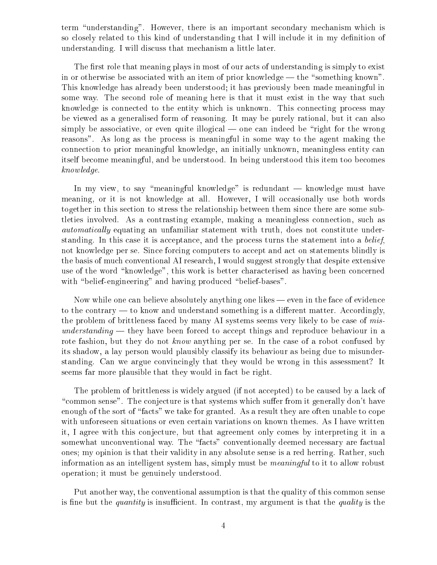term "understanding". However, there is an important secondary mechanism which is so closely related to this kind of understanding that I will include it in my definition of understanding. I will discuss that mechanism a little later.

The first role that meaning plays in most of our acts of understanding is simply to exist in or otherwise be associated with an item of prior knowledge — the "something known". This knowledge has already been understood; it has previously been made meaningful in some way. The second role of meaning here is that it must exist in the way that such knowledge is connected to the entity which is unknown. This connecting process may be viewed as a generalised form of reasoning. It may be purely rational, but it can also simply be associative, or even quite illogical  $\sim$  one can indeed be "right for the wrong reasons". As long as the process is meaningful in some way to the agent making the connection to prior meaningful knowledge, an initially unknown, meaningless entity can itself become meaningful, and be understood. In being understood this item too becomes knowledge.

In my view, to say "meaningful knowledge" is redundant  $-$  knowledge must have meaning, or it is not knowledge at all. However, I will occasionally use both words together in this section to stress the relationship between them since there are some subtleties involved. As a contrasting example, making a meaningless connection, such as *automatically* equating an unfamiliar statement with truth, does not constitute understanding. In this case it is acceptance, and the process turns the statement into a belief, not knowledge per se. Since forcing computers to accept and act on statements blindly is the basis of much conventional AI research, I would suggest strongly that despite extensive use of the word "knowledge", this work is better characterised as having been concerned with "belief-engineering" and having produced "belief-bases".

Now while one can believe absolutely anything one likes — even in the face of evidence to the contrary  $-$  to know and understand something is a different matter. Accordingly, the problem of brittleness faced by many AI systems seems very likely to be case of mis $understanding$  — they have been forced to accept things and reproduce behaviour in a rote fashion, but they do not know anything per se. In the case of a robot confused by its shadow, a lay person would plausibly classify its behaviour as being due to misunderstanding. Can we argue convincingly that they would be wrong in this assessment? It seems far more plausible that they would in fact be right.

The problem of brittleness is widely argued (if not accepted) to be caused by a lack of "common sense". The conjecture is that systems which suffer from it generally don't have enough of the sort of "facts" we take for granted. As a result they are often unable to cope with unforeseen situations or even certain variations on known themes. As I have written it, I agree with this conjecture, but that agreement only comes by interpreting it in a somewhat unconventional way. The "facts" conventionally deemed necessary are factual ones; my opinion is that their validity in any absolute sense is a red herring. Rather, such information as an intelligent system has, simply must be meaningful to it to allow robust operation; it must be genuinely understood.

Put another way, the conventional assumption is that the quality of this common sense is fine but the *quantity* is insufficient. In contrast, my argument is that the *quality* is the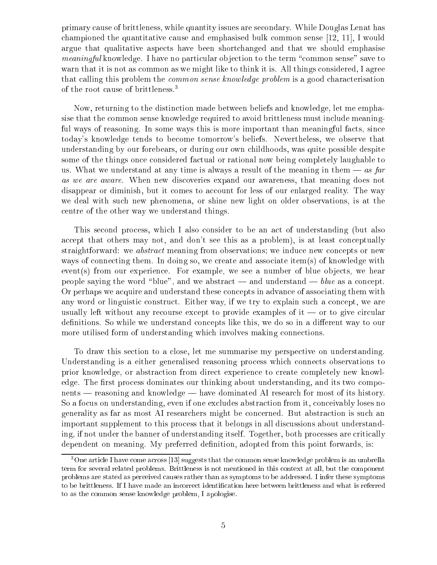primary cause of brittleness, while quantity issues are secondary. While Douglas Lenat has championed the quantitative cause and emphasised bulk common sense [12, 11], I would argue that qualitative aspects have been shortchanged and that we should emphasise meaningful knowledge. I have no particular objection to the term "common sense" save to warn that it is not as common as we might like to think it is. All things considered, I agree that calling this problem the *common sense knowledge problem* is a good characterisation of the root cause of brittleness.3

Now, returning to the distinction made between beliefs and knowledge, let me emphasise that the common sense knowledge required to avoid brittleness must include meaningful ways of reasoning. In some ways this is more important than meaningful facts, since today's knowledge tends to become tomorrow's beliefs. Nevertheless, we observe that understanding by our forebears, or during our own childhoods, was quite possible despite some of the things once considered factual or rational now being completely laughable to us. What we understand at any time is always a result of the meaning in them  $-\alpha s$  far as we are aware. When new discoveries expand our awareness, that meaning does not disappear or diminish, but it comes to account for less of our enlarged reality. The way we deal with such new phenomena, or shine new light on older observations, is at the centre of the other way we understand things.

This second process, which I also consider to be an act of understanding (but also accept that others may not, and don't see this as a problem), is at least conceptually straightforward: we abstract meaning from observations; we induce new concepts or new ways of connecting them. In doing so, we create and associate item(s) of knowledge with  $event(s)$  from our experience. For example, we see a number of blue objects, we hear people saying the word "blue", and we abstract — and understand — blue as a concept. Or perhaps we acquire and understand these concepts in advance of associating them with any word or linguistic construct. Either way, if we try to explain such a concept, we are usually left without any recourse except to provide examples of  $i<sub>t</sub>$  or to give circular definitions. So while we understand concepts like this, we do so in a different way to our more utilised form of understanding which involves making connections.

To draw this section to a close, let me summarise my perspective on understanding. Understanding is a either generalised reasoning process which connects observations to prior knowledge, or abstraction from direct experience to create completely new knowledge. The first process dominates our thinking about understanding, and its two compo $n_{\text{enets}}$  = reasoning and knowledge  $-$  have dominated AI research for most of its history. So a focus on understanding, even if one excludes abstraction from it, conceivably loses no generality as far as most AI researchers might be concerned. But abstraction is such an important supplement to this process that it belongs in all discussions about understanding, if not under the banner of understanding itself. Together, both processes are critically dependent on meaning. My preferred definition, adopted from this point forwards, is:

<sup>3</sup>One article <sup>I</sup> have come across [13] suggests that the common sense knowledge problem is an umbrella term for several related problems. Brittleness is not mentioned in this context at all, but the component problems are stated as perceived causes rather than as symptoms to be addressed. <sup>I</sup> infer these symptoms to as the common sense knowledge problem, <sup>I</sup> apologise.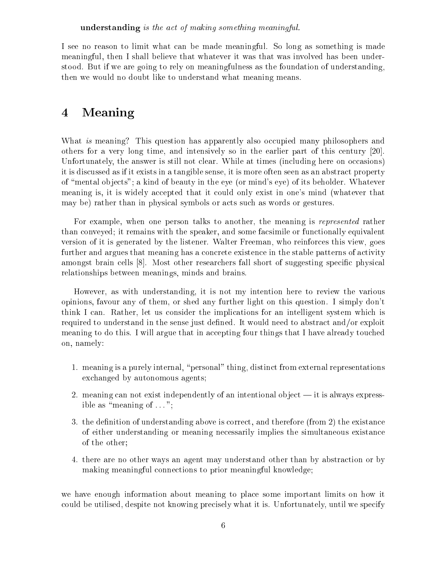I see no reason to limit what can be made meaningful. So long as something is made meaningful, then I shall believe that whatever it was that was involved has been understood. But if we are going to rely on meaningfulness as the foundation of understanding, then we would no doubt like to understand what meaning means.

### 4Meaning

What is meaning? This question has apparently also occupied many philosophers and others for a very long time, and intensively so in the earlier part of this century [20]. Unfortunately, the answer is still not clear. While at times (including here on occasions) it is discussed as if it exists in a tangible sense, it is more often seen as an abstract property of "mental objects"; a kind of beauty in the eye (or mind's eye) of its beholder. Whatever meaning is, it is widely accepted that it could only exist in one's mind (whatever that may be) rather than in physical symbols or acts such as words or gestures.

For example, when one person talks to another, the meaning is *represented* rather than conveyed; it remains with the speaker, and some facsimile or functionally equivalent version of it is generated by the listener. Walter Freeman, who reinforces this view, goes further and argues that meaning has a concrete existence in the stable patterns of activity amongst brain cells [8]. Most other researchers fall short of suggesting specific physical relationships between meanings, minds and brains.

However, as with understanding, it is not my intention here to review the various opinions, favour any of them, or shed any further light on this question. I simply don't think I can. Rather, let us consider the implications for an intelligent system which is required to understand in the sense just defined. It would need to abstract and/or exploit meaning to do this. I will argue that in accepting four things that I have already touched on, namely:

- 1. meaning is a purely internal, "personal" thing, distinct from external representations exchanged by autonomous agents;
- 2. meaning can not exist independently of an intentional object  $-$  it is always expressible as "meaning of  $\dots$ ";
- 3. the definition of understanding above is correct, and therefore (from 2) the existance of either understanding or meaning necessarily implies the simultaneous existance of the other;
- 4. there are no other ways an agent may understand other than by abstraction or by making meaningful connections to prior meaningful knowledge;

we have enough information about meaning to place some important limits on how it could be utilised, despite not knowing precisely what it is. Unfortunately, until we specify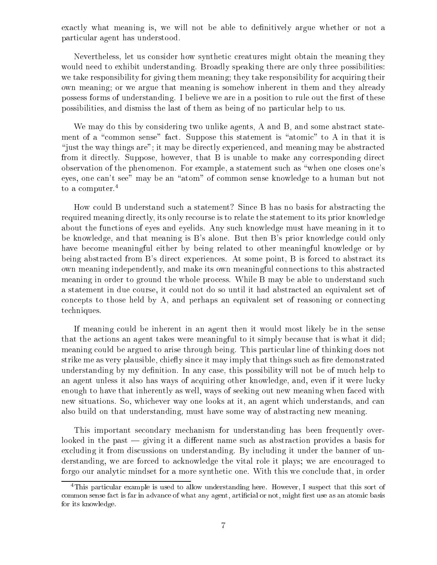exactly what meaning is, we will not be able to definitively argue whether or not a particular agent has understood.

Nevertheless, let us consider how synthetic creatures might obtain the meaning they would need to exhibit understanding. Broadly speaking there are only three possibilities: we take responsibility for giving them meaning; they take responsibility for acquiring their own meaning; or we argue that meaning is somehow inherent in them and they already possess forms of understanding. I believe we are in a position to rule out the first of these possibilities, and dismiss the last of them as being of no particular help to us.

We may do this by considering two unlike agents, A and B, and some abstract statement of a "common sense" fact. Suppose this statement is "atomic" to A in that it is \just the way things are"; it may be directly experienced, and meaning may be abstracted from it directly. Suppose, however, that B is unable to make any corresponding direct observation of the phenomenon. For example, a statement such as \when one closes one's eyes, one can't see" may be an "atom" of common sense knowledge to a human but not to a computer.<sup>4</sup>

How could B understand such a statement? Since B has no basis for abstracting the required meaning directly, its only recourse is to relate the statement to its prior knowledge about the functions of eyes and eyelids. Any such knowledge must have meaning in it to be knowledge, and that meaning is B's alone. But then B's prior knowledge could only have become meaningful either by being related to other meaningful knowledge or by being abstracted from B's direct experiences. At some point, B is forced to abstract its own meaning independently, and make its own meaningful connections to this abstracted meaning in order to ground the whole process. While B may be able to understand such a statement in due course, it could not do so until it had abstracted an equivalent set of concepts to those held by A, and perhaps an equivalent set of reasoning or connecting techniques.

If meaning could be inherent in an agent then it would most likely be in the sense that the actions an agent takes were meaningful to it simply because that is what it did; meaning could be argued to arise through being. This particular line of thinking does not strike me as very plausible, chiefly since it may imply that things such as fire demonstrated understanding by my definition. In any case, this possibility will not be of much help to an agent unless it also has ways of acquiring other knowledge, and, even if it were lucky enough to have that inherently as well, ways of seeking out new meaning when faced with new situations. So, whichever way one looks at it, an agent which understands, and can also build on that understanding, must have some way of abstracting new meaning.

This important secondary mechanism for understanding has been frequently overlooked in the past  $\frac{1}{2}$  giving it a different name such as abstraction provides a basis for excluding it from discussions on understanding. By including it under the banner of understanding, we are forced to acknowledge the vital role it plays; we are encouraged to forgo our analytic mindset for a more synthetic one. With this we conclude that, in order

 $\,$  This particular example is used to allow understanding here. However, I suspect that this sort of common sense fact is far in advance of what any agent, articles is not, might basis use any any atomic basis for its knowledge.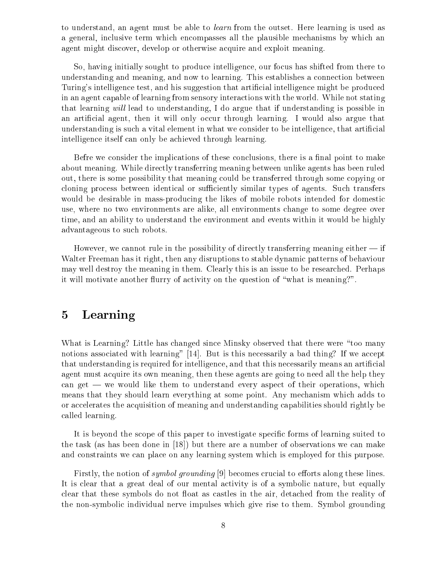to understand, an agent must be able to learn from the outset. Here learning is used as a general, inclusive term which encompasses all the plausible mechanisms by which an agent might discover, develop or otherwise acquire and exploit meaning.

So, having initially sought to produce intelligence, our focus has shifted from there to understanding and meaning, and now to learning. This establishes a connection between Turing's intelligence test, and his suggestion that articial intelligence might be produced in an agent capable of learning from sensory interactions with the world. While not stating that learning will lead to understanding, I do argue that if understanding is possible in an articial agent, then it will only occur through learning. I would also argue that understanding is such a vital element in what we consider to be intelligence, that artificial intelligence itself can only be achieved through learning.

Befre we consider the implications of these conclusions, there is a final point to make about meaning. While directly transferring meaning between unlike agents has been ruled out, there is some possibility that meaning could be transferred through some copying or cloning process between identical or sufficiently similar types of agents. Such transfers would be desirable in mass-producing the likes of mobile robots intended for domestic use, where no two environments are alike, all environments change to some degree over time, and an ability to understand the environment and events within it would be highly advantageous to such robots.

However, we cannot rule in the possibility of directly transferring meaning either  $-$  if Walter Freeman has it right, then any disruptions to stable dynamic patterns of behaviour may well destroy the meaning in them. Clearly this is an issue to be researched. Perhaps it will motivate another flurry of activity on the question of "what is meaning?".

### 5Learning

What is Learning? Little has changed since Minsky observed that there were "too many notions associated with learning" [14]. But is this necessarily a bad thing? If we accept that understanding is required for intelligence, and that this necessarily means an articial agent must acquire its own meaning, then these agents are going to need all the help they can get  $-$  we would like them to understand every aspect of their operations, which means that they should learn everything at some point. Any mechanism which adds to or accelerates the acquisition of meaning and understanding capabilities should rightly be called learning.

It is beyond the scope of this paper to investigate specific forms of learning suited to the task (as has been done in [18]) but there are a number of observations we can make and constraints we can place on any learning system which is employed for this purpose.

Firstly, the notion of *symbol grounding* [9] becomes crucial to efforts along these lines. It is clear that a great deal of our mental activity is of a symbolic nature, but equally clear that these symbols do not float as castles in the air, detached from the reality of the non-symbolic individual nerve impulses which give rise to them. Symbol grounding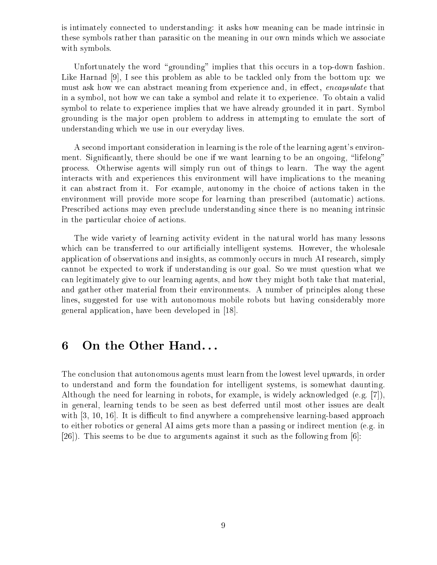is intimately connected to understanding: it asks how meaning can be made intrinsic in these symbols rather than parasitic on the meaning in our own minds which we associate with symbols.

Unfortunately the word "grounding" implies that this occurs in a top-down fashion. Like Harnad [9], I see this problem as able to be tackled only from the bottom up: we must ask how we can abstract meaning from experience and, in effect, *encapsulate* that in a symbol, not how we can take a symbol and relate it to experience. To obtain a valid symbol to relate to experience implies that we have already grounded it in part. Symbol grounding is the major open problem to address in attempting to emulate the sort of understanding which we use in our everyday lives.

A second important consideration in learning is the role of the learning agent's environment. Significantly, there should be one if we want learning to be an ongoing, "lifelong" process. Otherwise agents will simply run out of things to learn. The way the agent interacts with and experiences this environment will have implications to the meaning it can abstract from it. For example, autonomy in the choice of actions taken in the environment will provide more scope for learning than prescribed (automatic) actions. Prescribed actions may even preclude understanding since there is no meaning intrinsic in the particular choice of actions.

The wide variety of learning activity evident in the natural world has many lessons which can be transferred to our artificially intelligent systems. However, the wholesale application of observations and insights, as commonly occurs in much AI research, simply cannot be expected to work if understanding is our goal. So we must question what we can legitimately give to our learning agents, and how they might both take that material, and gather other material from their environments. A number of principles along these lines, suggested for use with autonomous mobile robots but having considerably more general application, have been developed in [18].

#### 6On the Other Hand. . .

The conclusion that autonomous agents must learn from the lowest level upwards, in order to understand and form the foundation for intelligent systems, is somewhat daunting. Although the need for learning in robots, for example, is widely acknowledged (e.g. [7]), in general, learning tends to be seen as best deferred until most other issues are dealt with  $[3, 10, 16]$ . It is difficult to find anywhere a comprehensive learning-based approach to either robotics or general AI aims gets more than a passing or indirect mention (e.g. in [26]). This seems to be due to arguments against it such as the following from [6]: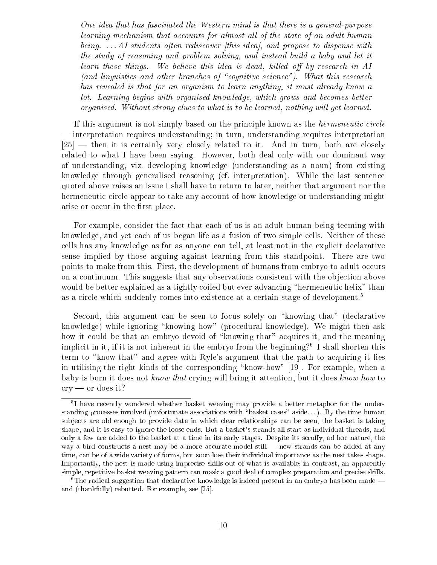One idea that has fascinated the Western mind is that there is a general-purpose learning mechanism that accounts for almost all of the state of an adult human being.  $\ldots$  AI students often rediscover (this idea), and propose to dispense with the study of reasoning and problem solving, and instead build a baby and let it learn these things. We believe this idea is dead, killed off by research in  $AI$ (and linguistics and other branches of "cognitive science"). What this research has revealed is that for an organism to learn anything, it must already know a lot. Learning begins with organised know ledge, which grows and becomes better organised. Without strong clues to what is to be learned, nothing wil l get learned.

If this argument is not simply based on the principle known as the hermeneutic circle | interpretation requires understanding; in turn, understanding requires interpretation  $[25]$  — then it is certainly very closely related to it. And in turn, both are closely related to what I have been saying. However, both deal only with our dominant way of understanding, viz. developing knowledge (understanding as a noun) from existing knowledge through generalised reasoning (cf. interpretation). While the last sentence quoted above raises an issue I shall have to return to later, neither that argument nor the hermeneutic circle appear to take any account of how knowledge or understanding might arise or occur in the first place.

For example, consider the fact that each of us is an adult human being teeming with knowledge, and yet each of us began life as a fusion of two simple cells. Neither of these cells has any knowledge as far as anyone can tell, at least not in the explicit declarative sense implied by those arguing against learning from this standpoint. There are two points to make from this. First, the development of humans from embryo to adult occurs on a continuum. This suggests that any observations consistent with the objection above would be better explained as a tightly coiled but ever-advancing "hermeneutic helix" than as a circle which suddenly comes into existence at a certain stage of development.<sup>5</sup>

Second, this argument can be seen to focus solely on \knowing that" (declarative knowledge) while ignoring "knowing how" (procedural knowledge). We might then ask how it could be that an embryo devoid of "knowing that" acquires it, and the meaning implicit in it, if it is not inherent in the embryo from the beginning?<sup>6</sup> I shall shorten this term to "know-that" and agree with Ryle's argument that the path to acquiring it lies in utilising the right kinds of the corresponding "know-how" [19]. For example, when a baby is born it does not know that crying will bring it attention, but it does know how to  $\text{cry}$  — or does it?

<sup>5</sup> I have recently wondered whether basket weaving may provide <sup>a</sup> better metaphor for the understanding processes involved (unfortunate associations with \basket cases" aside. . . ). By the time human sub jects are old enough to provide data in which clear relationships can be seen, the basket is taking shape, and it is easy to ignore the loose ends. But <sup>a</sup> basket's strands all start as individual threads, and only <sup>a</sup> few are added to the basket at <sup>a</sup> time in its early stages. Despite its scruy, ad hoc nature, the way a bird constructs a nest may be a more accurate model still at any strands can be added at any time, can be of <sup>a</sup> wide variety of forms, but soon lose their individual importance as the nest takes shape. Importantly, the nest is made using imprecise skills out of what is available; in contrast, an apparently simple, repetitive basket weaving pattern can mask <sup>a</sup> good deal of complex preparation and precise skills.

 $\cdot$  1 he radical suggestion that declarative knowledge is indeed present in an embryo has been made  $\equiv$ and  $\sim$  (the butter and  $\sim$  ), for example, see For example, see For  $\sim$  [25].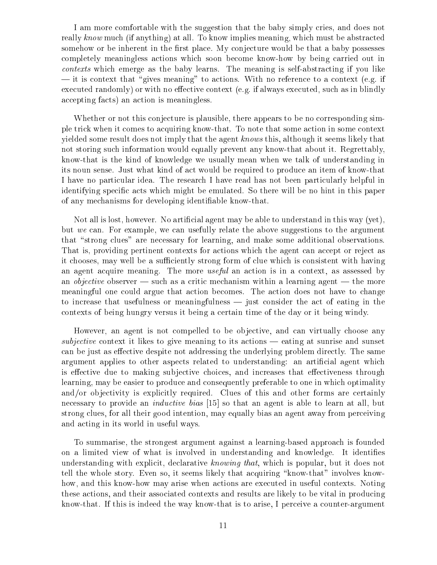I am more comfortable with the suggestion that the baby simply cries, and does not really know much (if anything) at all. To know implies meaning, which must be abstracted somehow or be inherent in the first place. My conjecture would be that a baby possesses completely meaningless actions which soon become know-how by being carried out in contexts which emerge as the baby learns. The meaning is self-abstracting if you like  $\frac{1}{x}$  it is context that "gives meaning" to actions. With no reference to a context (e.g. if executed randomly) or with no effective context (e.g. if always executed, such as in blindly accepting facts) an action is meaningless.

Whether or not this conjecture is plausible, there appears to be no corresponding simple trick when it comes to acquiring know-that. To note that some action in some context yielded some result does not imply that the agent knows this, although it seems likely that not storing such information would equally prevent any know-that about it. Regrettably, know-that is the kind of knowledge we usually mean when we talk of understanding in its noun sense. Just what kind of act would be required to produce an item of know-that I have no particular idea. The research I have read has not been particularly helpful in identifying specic acts which might be emulated. So there will be no hint in this paper of any mechanisms for developing identiable know-that.

Not all is lost, however. No articial agent may be able to understand in this way (yet), but we can. For example, we can usefully relate the above suggestions to the argument that "strong clues" are necessary for learning, and make some additional observations. That is, providing pertinent contexts for actions which the agent can accept or reject as it chooses, may well be a sufficiently strong form of clue which is consistent with having an agent acquire meaning. The more useful an action is in a context, as assessed by an *objective* observer — such as a critic mechanism within a learning agent — the more meaningful one could argue that action becomes. The action does not have to change to increase that usefulness or meaningfulness  $-$  just consider the act of eating in the contexts of being hungry versus it being a certain time of the day or it being windy.

However, an agent is not compelled to be objective, and can virtually choose any subjective context it likes to give meaning to its actions  $-$  eating at sunrise and sunset can be just as effective despite not addressing the underlying problem directly. The same argument applies to other aspects related to understanding: an articial agent which is effective due to making subjective choices, and increases that effectiveness through learning, may be easier to produce and consequently preferable to one in which optimality and/or objectivity is explicitly required. Clues of this and other forms are certainly necessary to provide an *inductive bias* [15] so that an agent is able to learn at all, but strong clues, for all their good intention, may equally bias an agent away from perceiving and acting in its world in useful ways.

To summarise, the strongest argument against a learning-based approach is founded on a limited view of what is involved in understanding and knowledge. It identifies understanding with explicit, declarative knowing that, which is popular, but it does not tell the whole story. Even so, it seems likely that acquiring \know-that" involves knowhow, and this know-how may arise when actions are executed in useful contexts. Noting these actions, and their associated contexts and results are likely to be vital in producing know-that. If this is indeed the way know-that is to arise, I perceive a counter-argument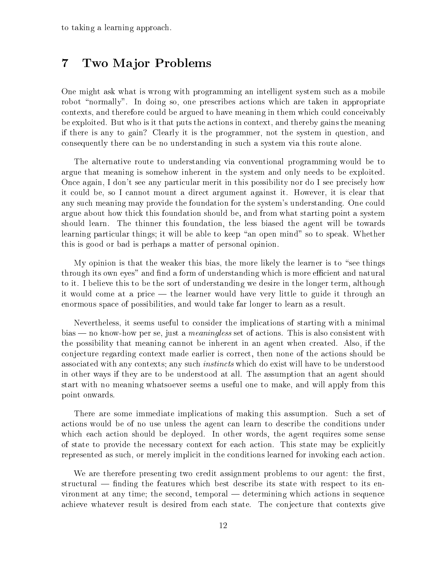#### 7Two Major Problems

One might ask what is wrong with programming an intelligent system such as a mobile robot "normally". In doing so, one prescribes actions which are taken in appropriate contexts, and therefore could be argued to have meaning in them which could conceivably be exploited. But who is it that puts the actions in context, and thereby gains the meaning if there is any to gain? Clearly it is the programmer, not the system in question, and consequently there can be no understanding in such a system via this route alone.

The alternative route to understanding via conventional programming would be to argue that meaning is somehow inherent in the system and only needs to be exploited. Once again, I don't see any particular merit in this possibility nor do I see precisely how it could be, so I cannot mount a direct argument against it. However, it is clear that any such meaning may provide the foundation for the system's understanding. One could argue about how thick this foundation should be, and from what starting point a system should learn. The thinner this foundation, the less biased the agent will be towards learning particular things; it will be able to keep "an open mind" so to speak. Whether this is good or bad is perhaps a matter of personal opinion.

My opinion is that the weaker this bias, the more likely the learner is to "see things" through its own eyes" and find a form of understanding which is more efficient and natural to it. I believe this to be the sort of understanding we desire in the longer term, although it would come at a price  $-$  the learner would have very little to guide it through an enormous space of possibilities, and would take far longer to learn as a result.

Nevertheless, it seems useful to consider the implications of starting with a minimal  $bias$   $-$  no know-how per se, just a *meaningless* set of actions. This is also consistent with the possibility that meaning cannot be inherent in an agent when created. Also, if the conjecture regarding context made earlier is correct, then none of the actions should be associated with any contexts; any such instincts which do exist will have to be understood in other ways if they are to be understood at all. The assumption that an agent should start with no meaning whatsoever seems a useful one to make, and will apply from this point onwards.

There are some immediate implications of making this assumption. Such a set of actions would be of no use unless the agent can learn to describe the conditions under which each action should be deployed. In other words, the agent requires some sense of state to provide the necessary context for each action. This state may be explicitly represented as such, or merely implicit in the conditions learned for invoking each action.

We are therefore presenting two credit assignment problems to our agent: the first,  $structural$  — finding the features which best describe its state with respect to its environment at any time; the second, temporal  $-$  determining which actions in sequence achieve whatever result is desired from each state. The conjecture that contexts give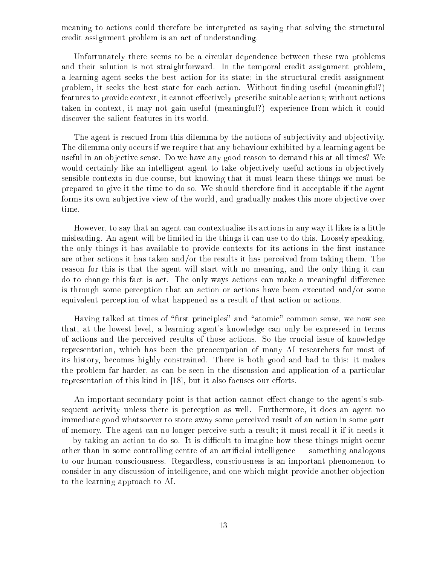meaning to actions could therefore be interpreted as saying that solving the structural credit assignment problem is an act of understanding.

Unfortunately there seems to be a circular dependence between these two problems and their solution is not straightforward. In the temporal credit assignment problem, a learning agent seeks the best action for its state; in the structural credit assignment problem, it seeks the best state for each action. Without finding useful (meaningful?) features to provide context, it cannot effectively prescribe suitable actions; without actions taken in context, it may not gain useful (meaningful?) experience from which it could discover the salient features in its world.

The agent is rescued from this dilemma by the notions of subjectivity and objectivity. The dilemma only occurs if we require that any behaviour exhibited by a learning agent be useful in an objective sense. Do we have any good reason to demand this at all times? We would certainly like an intelligent agent to take objectively useful actions in objectively sensible contexts in due course, but knowing that it must learn these things we must be prepared to give it the time to do so. We should therefore nd it acceptable if the agent forms its own subjective view of the world, and gradually makes this more objective over time.

However, to say that an agent can contextualise its actions in any way it likes is a little misleading. An agent will be limited in the things it can use to do this. Loosely speaking, the only things it has available to provide contexts for its actions in the first instance are other actions it has taken and/or the results it has perceived from taking them. The reason for this is that the agent will start with no meaning, and the only thing it can do to change this fact is act. The only ways actions can make a meaningful difference is through some perception that an action or actions have been executed and/or some equivalent perception of what happened as a result of that action or actions.

Having talked at times of "first principles" and "atomic" common sense, we now see that, at the lowest level, a learning agent's knowledge can only be expressed in terms of actions and the perceived results of those actions. So the crucial issue of knowledge representation, which has been the preoccupation of many AI researchers for most of its history, becomes highly constrained. There is both good and bad to this: it makes the problem far harder, as can be seen in the discussion and application of a particular representation of this kind in  $[18]$ , but it also focuses our efforts.

An important secondary point is that action cannot effect change to the agent's subsequent activity unless there is perception as well. Furthermore, it does an agent no immediate good whatsoever to store away some perceived result of an action in some part of memory. The agent can no longer perceive such a result; it must recall it if it needs it  $\sim$  by taking an action to do so. It is difficult to imagine how these things might occur other than in some controlling centre of an artificial intelligence  $-$  something analogous to our human consciousness. Regardless, consciousness is an important phenomenon to consider in any discussion of intelligence, and one which might provide another ob jection to the learning approach to AI.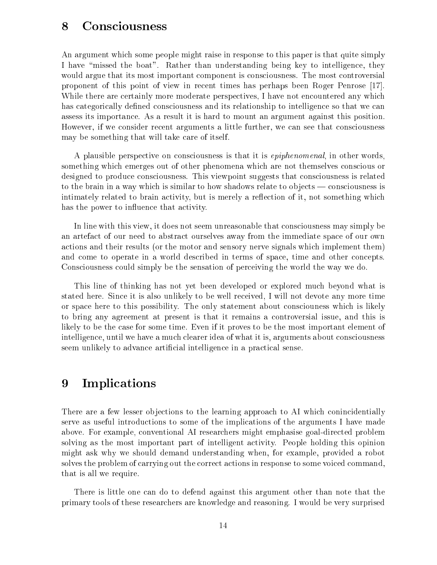#### 8Consciousness

An argument which some people might raise in response to this paper is that quite simply I have "missed the boat". Rather than understanding being key to intelligence, they would argue that its most important component is consciousness. The most controversial proponent of this point of view in recent times has perhaps been Roger Penrose [17]. While there are certainly more moderate perspectives, I have not encountered any which has categorically defined consciousness and its relationship to intelligence so that we can assess its importance. As a result it is hard to mount an argument against this position. However, if we consider recent arguments a little further, we can see that consciousness may be something that will take care of itself.

A plausible perspective on consciousness is that it is epiphenomenal, in other words, something which emerges out of other phenomena which are not themselves conscious or designed to produce consciousness. This viewpoint suggests that consciousness is related to the brain in a way which is similar to how shadows relate to objects — consciousness is intimately related to brain activity, but is merely a reflection of it, not something which has the power to influence that activity.

In line with this view, it does not seem unreasonable that consciousness may simply be an artefact of our need to abstract ourselves away from the immediate space of our own actions and their results (or the motor and sensory nerve signals which implement them) and come to operate in a world described in terms of space, time and other concepts. Consciousness could simply be the sensation of perceiving the world the way we do.

This line of thinking has not yet been developed or explored much beyond what is stated here. Since it is also unlikely to be well received, I will not devote any more time or space here to this possibility. The only statement about consciouness which is likely to bring any agreement at present is that it remains a controversial issue, and this is likely to be the case for some time. Even if it proves to be the most important element of intelligence, until we have a much clearer idea of what it is, arguments about consciousness seem unlikely to advance articial intelligence in a practical sense.

#### 9Implications

There are a few lesser objections to the learning approach to AI which conincidentially serve as useful introductions to some of the implications of the arguments I have made above. For example, conventional AI researchers might emphasise goal-directed problem solving as the most important part of intelligent activity. People holding this opinion might ask why we should demand understanding when, for example, provided a robot solves the problem of carrying out the correct actions in response to some voiced command, that is all we require.

There is little one can do to defend against this argument other than note that the primary tools of these researchers are knowledge and reasoning. I would be very surprised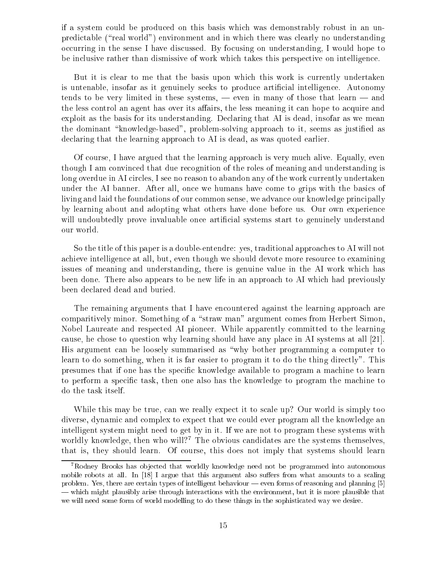if a system could be produced on this basis which was demonstrably robust in an unpredictable (\real world") environment and in which there was clearly no understanding occurring in the sense I have discussed. By focusing on understanding, I would hope to be inclusive rather than dismissive of work which takes this perspective on intelligence.

But it is clear to me that the basis upon which this work is currently undertaken is untenable, insofar as it genuinely seeks to produce articial intelligence. Autonomy tends to be very limited in these systems,  $-$  even in many of those that learn  $-$  and the less control an agent has over its affairs, the less meaning it can hope to acquire and exploit as the basis for its understanding. Declaring that AI is dead, insofar as we mean the dominant "knowledge-based", problem-solving approach to it, seems as justified as declaring that the learning approach to AI is dead, as was quoted earlier.

Of course, I have argued that the learning approach is very much alive. Equally, even though I am convinced that due recognition of the roles of meaning and understanding is long overdue in AI circles, I see no reason to abandon any of the work currently undertaken under the AI banner. After all, once we humans have come to grips with the basics of living and laid the foundations of our common sense, we advance our knowledge principally by learning about and adopting what others have done before us. Our own experience will undoubtedly prove invaluable once artificial systems start to genuinely understand our world.

So the title of this paper is a double-entendre: yes, traditional approaches to AI will not achieve intelligence at all, but, even though we should devote more resource to examining issues of meaning and understanding, there is genuine value in the AI work which has been done. There also appears to be new life in an approach to AI which had previously been declared dead and buried.

The remaining arguments that I have encountered against the learning approach are comparitively minor. Something of a \straw man" argument comes from Herbert Simon, Nobel Laureate and respected AI pioneer. While apparently committed to the learning cause, he chose to question why learning should have any place in AI systems at all [21]. His argument can be loosely summarised as "why bother programming a computer to learn to do something, when it is far easier to program it to do the thing directly". This presumes that if one has the specic knowledge available to program a machine to learn to perform a specic task, then one also has the knowledge to program the machine to do the task itself.

While this may be true, can we really expect it to scale up? Our world is simply too diverse, dynamic and complex to expect that we could ever program all the knowledge an intelligent system might need to get by in it. If we are not to program these systems with worldly knowledge, then who will?7 The obvious candidates are the systems themselves, that is, they should learn. Of course, this does not imply that systems should learn

<sup>7</sup>Rodney Brooks has ob jected that worldly knowledge need not be programmed into autonomous mobile robots at all. In [18] <sup>I</sup> argue that this argument also suers from what amounts to <sup>a</sup> scaling  $p$  is the certain there are certain types of intelligent behaviour  $p$  is the planning company  $p$  and  $p$ | which might plausibly arise through interactions with the environment, but it is more plausible that we will need some form of world modelling to do these things in the sophisticated way we desire.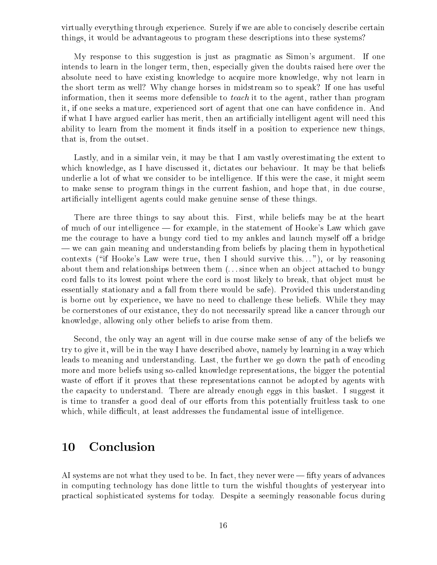virtually everything through experience. Surely if we are able to concisely describe certain things, it would be advantageous to program these descriptions into these systems?

My response to this suggestion is just as pragmatic as Simon's argument. If one intends to learn in the longer term, then, especially given the doubts raised here over the absolute need to have existing knowledge to acquire more knowledge, why not learn in the short term as well? Why change horses in midstream so to speak? If one has useful information, then it seems more defensible to *teach* it to the agent, rather than program it, if one seeks a mature, experienced sort of agent that one can have condence in. And if what I have argued earlier has merit, then an articially intelligent agent will need this ability to learn from the moment it finds itself in a position to experience new things, that is, from the outset.

Lastly, and in a similar vein, it may be that I am vastly overestimating the extent to which knowledge, as I have discussed it, dictates our behaviour. It may be that beliefs underlie a lot of what we consider to be intelligence. If this were the case, it might seem to make sense to program things in the current fashion, and hope that, in due course, articially intelligent agents could make genuine sense of these things.

There are three things to say about this. First, while beliefs may be at the heart of much of our intelligence — for example, in the statement of Hooke's Law which gave me the courage to have a bungy cord tied to my ankles and launch myself off a bridge | we can gain meaning and understanding from beliefs by placing them in hypothetical contexts ("if Hooke's Law were true, then I should survive this..."), or by reasoning about them and relationships between them  $(\ldots)$  since when an object attached to bungy cord falls to its lowest point where the cord is most likely to break, that object must be essentially stationary and a fall from there would be safe). Provided this understanding is borne out by experience, we have no need to challenge these beliefs. While they may be cornerstones of our existance, they do not necessarily spread like a cancer through our knowledge, allowing only other beliefs to arise from them.

Second, the only way an agent will in due course make sense of any of the beliefs we try to give it, will be in the way I have described above, namely by learning in a way which leads to meaning and understanding. Last, the further we go down the path of encoding more and more beliefs using so-called knowledge representations, the bigger the potential waste of effort if it proves that these representations cannot be adopted by agents with the capacity to understand. There are already enough eggs in this basket. I suggest it is time to transfer a good deal of our efforts from this potentially fruitless task to one which, while difficult, at least addresses the fundamental issue of intelligence.

### 10Conclusion

AI systems are not what they used to be. In fact, they never were  $\text{—}$  fifty years of advances in computing technology has done little to turn the wishful thoughts of yesteryear into practical sophisticated systems for today. Despite a seemingly reasonable focus during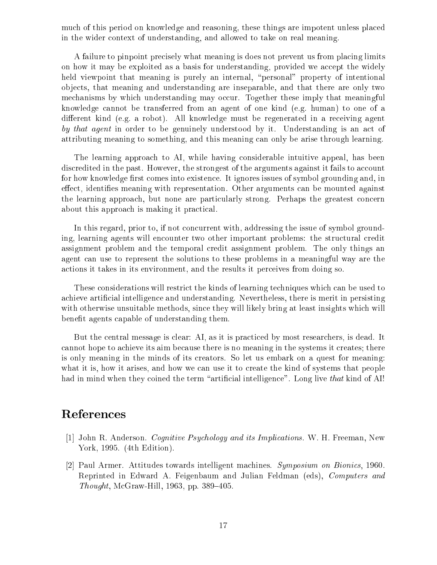much of this period on knowledge and reasoning, these things are impotent unless placed in the wider context of understanding, and allowed to take on real meaning.

A failure to pinpoint precisely what meaning is does not prevent us from placing limits on how it may be exploited as a basis for understanding, provided we accept the widely held viewpoint that meaning is purely an internal, "personal" property of intentional ob jects, that meaning and understanding are inseparable, and that there are only two mechanisms by which understanding may occur. Together these imply that meaningful knowledge cannot be transferred from an agent of one kind (e.g. human) to one of a different kind (e.g. a robot). All knowledge must be regenerated in a receiving agent by that agent in order to be genuinely understood by it. Understanding is an act of attributing meaning to something, and this meaning can only be arise through learning.

The learning approach to AI, while having considerable intuitive appeal, has been discredited in the past. However, the strongest of the arguments against it fails to account for how knowledge first comes into existence. It ignores issues of symbol grounding and, in effect, identifies meaning with representation. Other arguments can be mounted against the learning approach, but none are particularly strong. Perhaps the greatest concern about this approach is making it practical.

In this regard, prior to, if not concurrent with, addressing the issue of symbol grounding, learning agents will encounter two other important problems: the structural credit assignment problem and the temporal credit assignment problem. The only things an agent can use to represent the solutions to these problems in a meaningful way are the actions it takes in its environment, and the results it perceives from doing so.

These considerations will restrict the kinds of learning techniques which can be used to achieve articial intelligence and understanding. Nevertheless, there is merit in persisting with otherwise unsuitable methods, since they will likely bring at least insights which will benefit agents capable of understanding them.

But the central message is clear: AI, as it is practiced by most researchers, is dead. It cannot hope to achieve its aim because there is no meaning in the systems it creates; there is only meaning in the minds of its creators. So let us embark on a quest for meaning: what it is, how it arises, and how we can use it to create the kind of systems that people had in mind when they coined the term "artificial intelligence". Long live that kind of  $AI!$ 

- [1] John R. Anderson. Cognitive Psychology and its Implications. W. H. Freeman, New York, 1995. (4th Edition).
- [2] Paul Armer. Attitudes towards intelligent machines. Symposium on Bionics, 1960. Reprinted in Edward A. Feigenbaum and Julian Feldman (eds), Computers and Thought, McGraw-Hill, 1963, pp. 389–405.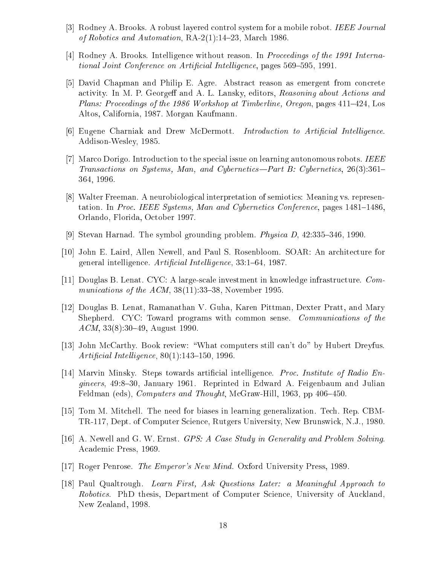- [3] Rodney A. Brooks. A robust layered control system for a mobile robot. IEEE Journal of Robotics and Automation,  $RA-2(1)$ :14-23, March 1986.
- [4] Rodney A. Brooks. Intelligence without reason. In Proceedings of the 1991 International Joint Conference on Artificial Intelligence, pages 569–595, 1991.
- [5] David Chapman and Philip E. Agre. Abstract reason as emergent from concrete activity. In M. P. Georgeff and A. L. Lansky, editors, Reasoning about Actions and Plans: Proceedings of the 1986 Workshop at Timberline, Oregon, pages  $411–424$ , Los Altos, California, 1987. Morgan Kaufmann.
- [6] Eugene Charniak and Drew McDermott. *Introduction to Artificial Intelligence*. Addison-Wesley, 1985.
- [7] Marco Dorigo. Introduction to the special issue on learning autonomous robots. IEEE Transactions on Systems, Man, and Cybernetics--Part B: Cybernetics, 26(3):361-364, 1996.
- [8] Walter Freeman. A neurobiological interpretation of semiotics: Meaning vs. representation. In Proc. IEEE Systems, Man and Cybernetics Conference, pages  $1481-1486$ , Orlando, Florida, October 1997.
- [9] Stevan Harnad. The symbol grounding problem. *Physica D*,  $42:335-346$ , 1990.
- [10] John E. Laird, Allen Newell, and Paul S. Rosenbloom. SOAR: An architecture for general intelligence. Artificial Intelligence, 33:1-64, 1987.
- [11] Douglas B. Lenat. CYC: A large-scale investment in knowledge infrastructure. Communications of the ACM,  $38(11):33-38$ , November 1995.
- [12] Douglas B. Lenat, Ramanathan V. Guha, Karen Pittman, Dexter Pratt, and Mary Shepherd. CYC: Toward programs with common sense. Communications of the  $ACM$ , 33(8):30–49, August 1990.
- [13] John McCarthy. Book review: \What computers still can't do" by Hubert Dreyfus. Artificial Intelligence,  $80(1)$ :143-150, 1996.
- [14] Marvin Minsky. Steps towards articial intelligence. Proc. Institute of Radio Engineers, 49:8–30, January 1961. Reprinted in Edward A. Feigenbaum and Julian Feldman (eds), *Computers and Thought*, McGraw-Hill, 1963, pp  $406-450$ .
- [15] Tom M. Mitchell. The need for biases in learning generalization. Tech. Rep. CBM-TR-117, Dept. of Computer Science, Rutgers University, New Brunswick, N.J., 1980.
- [16] A. Newell and G. W. Ernst. GPS: A Case Study in Generality and Problem Solving. Academic Press, 1969.
- [17] Roger Penrose. The Emperor's New Mind. Oxford University Press, 1989.
- [18] Paul Qualtrough. Learn First, Ask Questions Later: a Meaningful Approach to Robotics. PhD thesis, Department of Computer Science, University of Auckland, New Zealand, 1998.